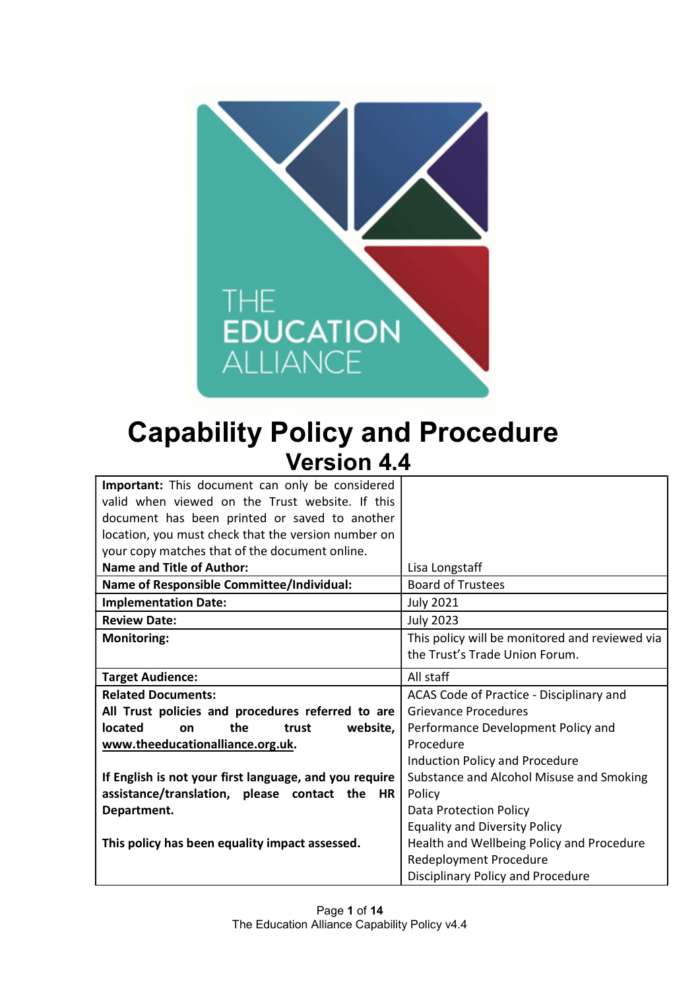

# Capability Policy and Procedure Version 4.4

| Important: This document can only be considered        |                                                |
|--------------------------------------------------------|------------------------------------------------|
| valid when viewed on the Trust website. If this        |                                                |
| document has been printed or saved to another          |                                                |
| location, you must check that the version number on    |                                                |
| your copy matches that of the document online.         |                                                |
| <b>Name and Title of Author:</b>                       | Lisa Longstaff                                 |
| Name of Responsible Committee/Individual:              | <b>Board of Trustees</b>                       |
| <b>Implementation Date:</b>                            | <b>July 2021</b>                               |
| <b>Review Date:</b>                                    | <b>July 2023</b>                               |
| <b>Monitoring:</b>                                     | This policy will be monitored and reviewed via |
|                                                        | the Trust's Trade Union Forum.                 |
| <b>Target Audience:</b>                                | All staff                                      |
| <b>Related Documents:</b>                              | ACAS Code of Practice - Disciplinary and       |
| All Trust policies and procedures referred to are      | <b>Grievance Procedures</b>                    |
| located<br>the<br>website,<br>trust<br>on              | Performance Development Policy and             |
| www.theeducationalliance.org.uk.                       | Procedure                                      |
|                                                        | <b>Induction Policy and Procedure</b>          |
| If English is not your first language, and you require | Substance and Alcohol Misuse and Smoking       |
| assistance/translation, please contact the HR          | Policy                                         |
| Department.                                            | <b>Data Protection Policy</b>                  |
|                                                        | <b>Equality and Diversity Policy</b>           |
| This policy has been equality impact assessed.         | Health and Wellbeing Policy and Procedure      |
|                                                        | <b>Redeployment Procedure</b>                  |
|                                                        | Disciplinary Policy and Procedure              |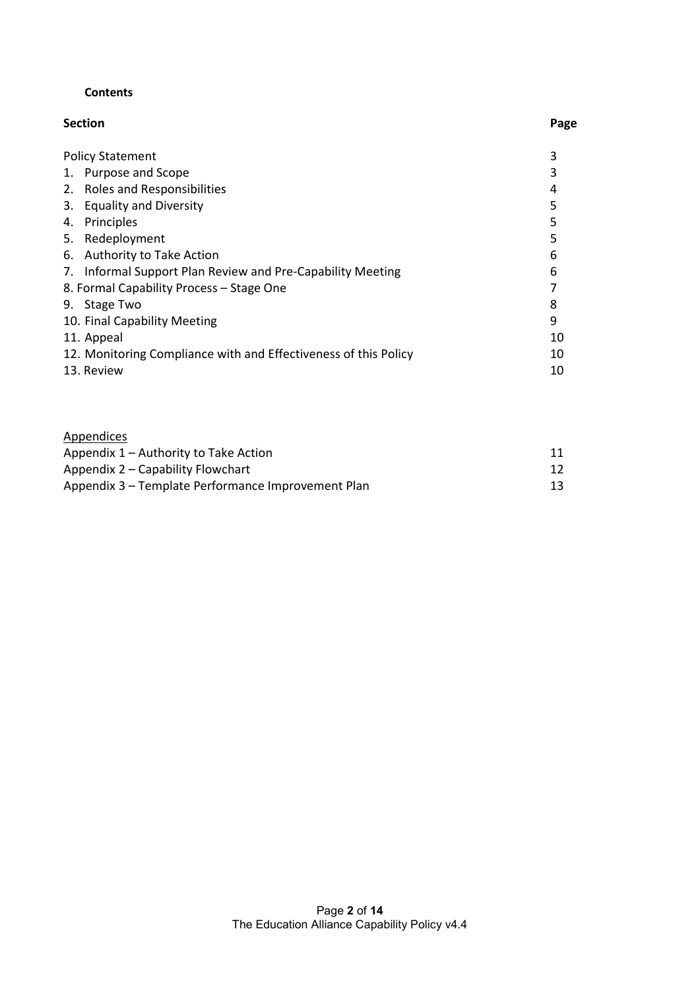#### **Contents**

| <b>Section</b> | Page |
|----------------|------|
|                |      |

| <b>Policy Statement</b>                                         |    |
|-----------------------------------------------------------------|----|
| Purpose and Scope                                               |    |
| 2. Roles and Responsibilities                                   | 4  |
| 3. Equality and Diversity                                       | 5  |
| Principles<br>4.                                                | 5  |
| 5. Redeployment                                                 |    |
| <b>Authority to Take Action</b><br>6.                           | 6  |
| Informal Support Plan Review and Pre-Capability Meeting         | 6  |
| 8. Formal Capability Process - Stage One                        |    |
| 9. Stage Two                                                    | 8  |
| 10. Final Capability Meeting                                    | 9  |
| 11. Appeal                                                      | 10 |
| 12. Monitoring Compliance with and Effectiveness of this Policy | 10 |
| 13. Review                                                      | 10 |
|                                                                 |    |

| Appendices                                         |    |
|----------------------------------------------------|----|
| Appendix 1 – Authority to Take Action              |    |
| Appendix 2 – Capability Flowchart                  |    |
| Appendix 3 – Template Performance Improvement Plan | 13 |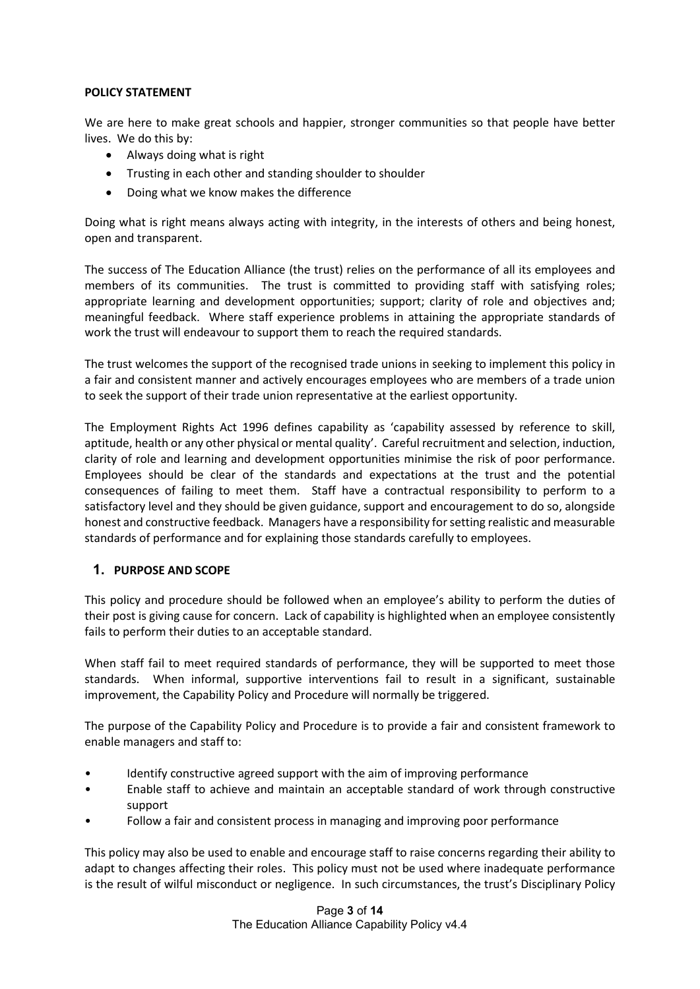#### POLICY STATEMENT

We are here to make great schools and happier, stronger communities so that people have better lives. We do this by:

- Always doing what is right
- Trusting in each other and standing shoulder to shoulder
- Doing what we know makes the difference

Doing what is right means always acting with integrity, in the interests of others and being honest, open and transparent.

The success of The Education Alliance (the trust) relies on the performance of all its employees and members of its communities. The trust is committed to providing staff with satisfying roles; appropriate learning and development opportunities; support; clarity of role and objectives and; meaningful feedback. Where staff experience problems in attaining the appropriate standards of work the trust will endeavour to support them to reach the required standards.

The trust welcomes the support of the recognised trade unions in seeking to implement this policy in a fair and consistent manner and actively encourages employees who are members of a trade union to seek the support of their trade union representative at the earliest opportunity.

The Employment Rights Act 1996 defines capability as 'capability assessed by reference to skill, aptitude, health or any other physical or mental quality'. Careful recruitment and selection, induction, clarity of role and learning and development opportunities minimise the risk of poor performance. Employees should be clear of the standards and expectations at the trust and the potential consequences of failing to meet them. Staff have a contractual responsibility to perform to a satisfactory level and they should be given guidance, support and encouragement to do so, alongside honest and constructive feedback. Managers have a responsibility for setting realistic and measurable standards of performance and for explaining those standards carefully to employees.

#### 1. PURPOSE AND SCOPE

This policy and procedure should be followed when an employee's ability to perform the duties of their post is giving cause for concern. Lack of capability is highlighted when an employee consistently fails to perform their duties to an acceptable standard.

When staff fail to meet required standards of performance, they will be supported to meet those standards. When informal, supportive interventions fail to result in a significant, sustainable improvement, the Capability Policy and Procedure will normally be triggered.

The purpose of the Capability Policy and Procedure is to provide a fair and consistent framework to enable managers and staff to:

- Identify constructive agreed support with the aim of improving performance
- Enable staff to achieve and maintain an acceptable standard of work through constructive support
- Follow a fair and consistent process in managing and improving poor performance

This policy may also be used to enable and encourage staff to raise concerns regarding their ability to adapt to changes affecting their roles. This policy must not be used where inadequate performance is the result of wilful misconduct or negligence. In such circumstances, the trust's Disciplinary Policy

> Page 3 of 14 The Education Alliance Capability Policy v4.4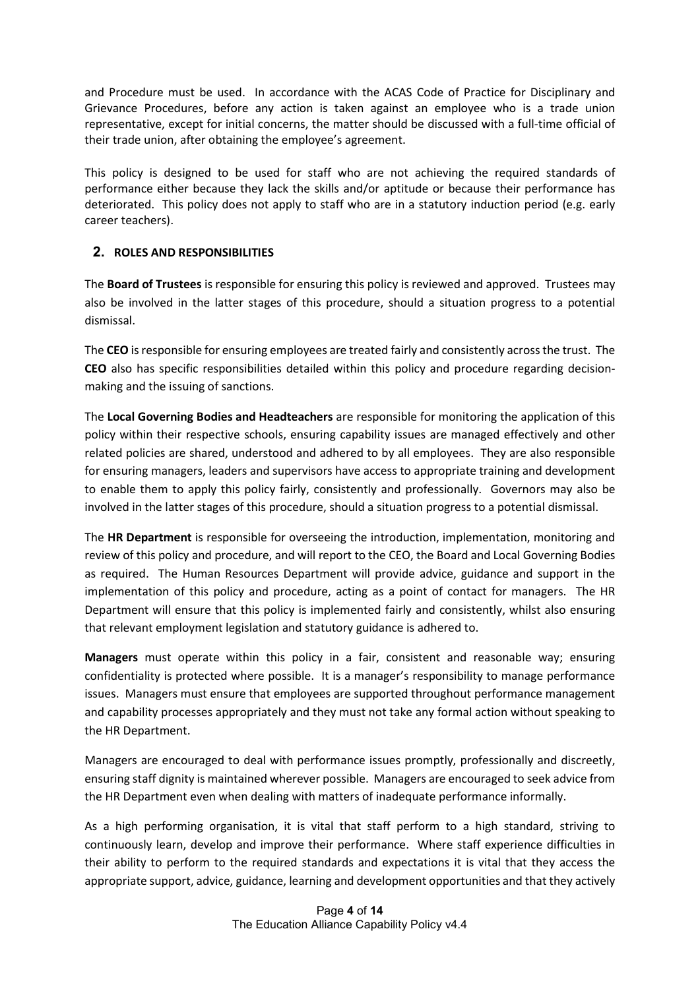and Procedure must be used. In accordance with the ACAS Code of Practice for Disciplinary and Grievance Procedures, before any action is taken against an employee who is a trade union representative, except for initial concerns, the matter should be discussed with a full-time official of their trade union, after obtaining the employee's agreement.

This policy is designed to be used for staff who are not achieving the required standards of performance either because they lack the skills and/or aptitude or because their performance has deteriorated. This policy does not apply to staff who are in a statutory induction period (e.g. early career teachers).

#### 2. ROLES AND RESPONSIBILITIES

The **Board of Trustees** is responsible for ensuring this policy is reviewed and approved. Trustees may also be involved in the latter stages of this procedure, should a situation progress to a potential dismissal.

The CEO is responsible for ensuring employees are treated fairly and consistently across the trust. The CEO also has specific responsibilities detailed within this policy and procedure regarding decisionmaking and the issuing of sanctions.

The Local Governing Bodies and Headteachers are responsible for monitoring the application of this policy within their respective schools, ensuring capability issues are managed effectively and other related policies are shared, understood and adhered to by all employees. They are also responsible for ensuring managers, leaders and supervisors have access to appropriate training and development to enable them to apply this policy fairly, consistently and professionally. Governors may also be involved in the latter stages of this procedure, should a situation progress to a potential dismissal.

The **HR Department** is responsible for overseeing the introduction, implementation, monitoring and review of this policy and procedure, and will report to the CEO, the Board and Local Governing Bodies as required. The Human Resources Department will provide advice, guidance and support in the implementation of this policy and procedure, acting as a point of contact for managers. The HR Department will ensure that this policy is implemented fairly and consistently, whilst also ensuring that relevant employment legislation and statutory guidance is adhered to.

Managers must operate within this policy in a fair, consistent and reasonable way; ensuring confidentiality is protected where possible. It is a manager's responsibility to manage performance issues. Managers must ensure that employees are supported throughout performance management and capability processes appropriately and they must not take any formal action without speaking to the HR Department.

Managers are encouraged to deal with performance issues promptly, professionally and discreetly, ensuring staff dignity is maintained wherever possible. Managers are encouraged to seek advice from the HR Department even when dealing with matters of inadequate performance informally.

As a high performing organisation, it is vital that staff perform to a high standard, striving to continuously learn, develop and improve their performance. Where staff experience difficulties in their ability to perform to the required standards and expectations it is vital that they access the appropriate support, advice, guidance, learning and development opportunities and that they actively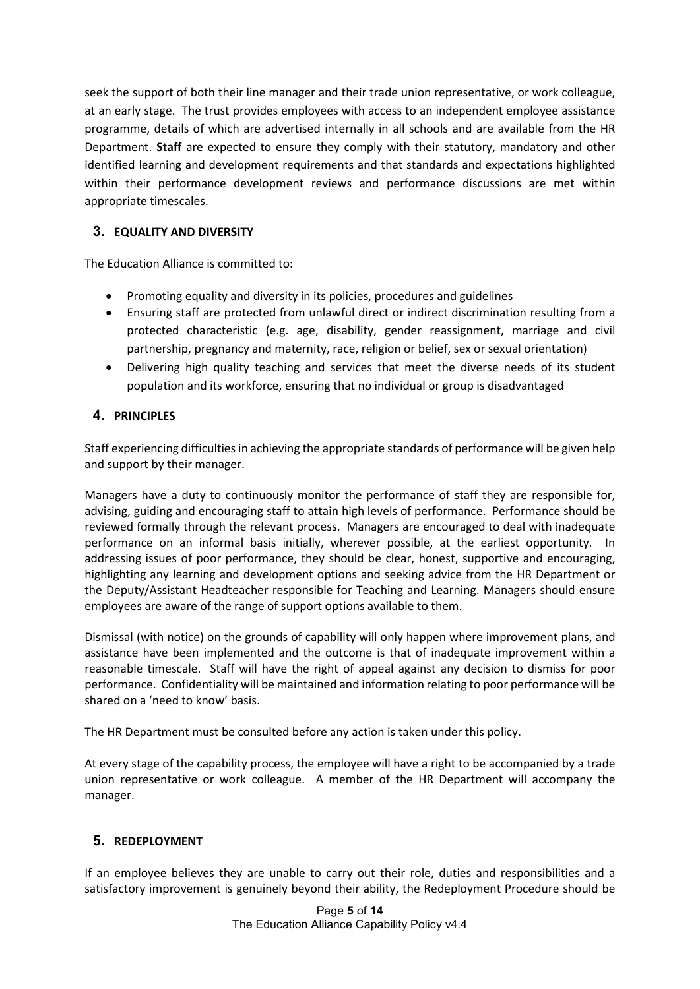seek the support of both their line manager and their trade union representative, or work colleague, at an early stage. The trust provides employees with access to an independent employee assistance programme, details of which are advertised internally in all schools and are available from the HR Department. Staff are expected to ensure they comply with their statutory, mandatory and other identified learning and development requirements and that standards and expectations highlighted within their performance development reviews and performance discussions are met within appropriate timescales.

# 3. EQUALITY AND DIVERSITY

The Education Alliance is committed to:

- Promoting equality and diversity in its policies, procedures and guidelines
- Ensuring staff are protected from unlawful direct or indirect discrimination resulting from a protected characteristic (e.g. age, disability, gender reassignment, marriage and civil partnership, pregnancy and maternity, race, religion or belief, sex or sexual orientation)
- Delivering high quality teaching and services that meet the diverse needs of its student population and its workforce, ensuring that no individual or group is disadvantaged

# 4. PRINCIPLES

Staff experiencing difficulties in achieving the appropriate standards of performance will be given help and support by their manager.

Managers have a duty to continuously monitor the performance of staff they are responsible for, advising, guiding and encouraging staff to attain high levels of performance. Performance should be reviewed formally through the relevant process. Managers are encouraged to deal with inadequate performance on an informal basis initially, wherever possible, at the earliest opportunity. In addressing issues of poor performance, they should be clear, honest, supportive and encouraging, highlighting any learning and development options and seeking advice from the HR Department or the Deputy/Assistant Headteacher responsible for Teaching and Learning. Managers should ensure employees are aware of the range of support options available to them.

Dismissal (with notice) on the grounds of capability will only happen where improvement plans, and assistance have been implemented and the outcome is that of inadequate improvement within a reasonable timescale. Staff will have the right of appeal against any decision to dismiss for poor performance. Confidentiality will be maintained and information relating to poor performance will be shared on a 'need to know' basis.

The HR Department must be consulted before any action is taken under this policy.

At every stage of the capability process, the employee will have a right to be accompanied by a trade union representative or work colleague. A member of the HR Department will accompany the manager.

# 5. REDEPLOYMENT

If an employee believes they are unable to carry out their role, duties and responsibilities and a satisfactory improvement is genuinely beyond their ability, the Redeployment Procedure should be

> Page 5 of 14 The Education Alliance Capability Policy v4.4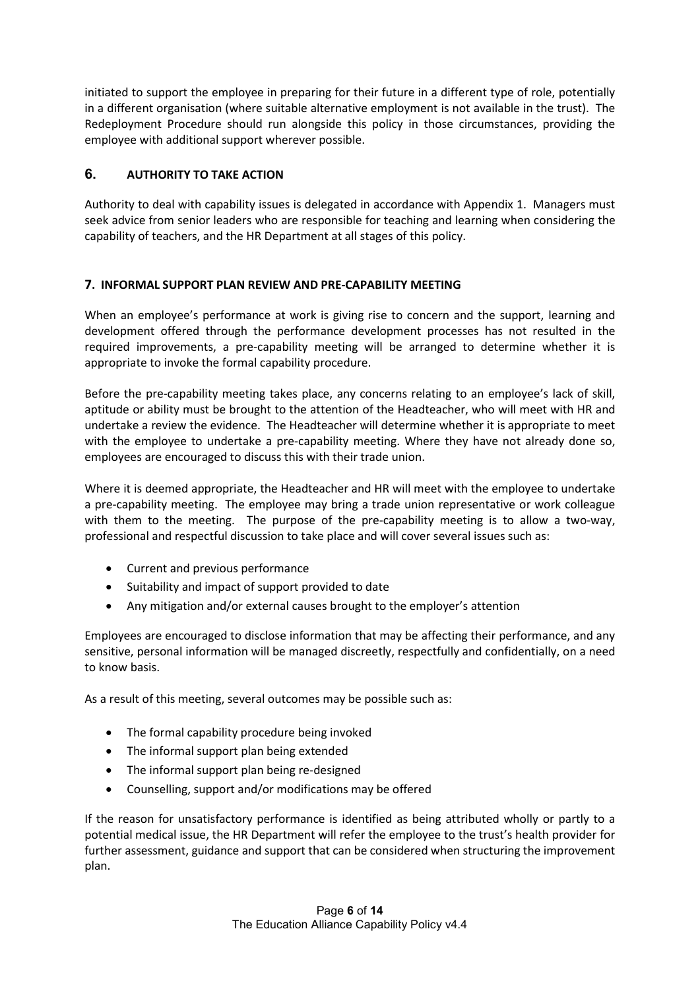initiated to support the employee in preparing for their future in a different type of role, potentially in a different organisation (where suitable alternative employment is not available in the trust). The Redeployment Procedure should run alongside this policy in those circumstances, providing the employee with additional support wherever possible.

# 6. AUTHORITY TO TAKE ACTION

Authority to deal with capability issues is delegated in accordance with Appendix 1. Managers must seek advice from senior leaders who are responsible for teaching and learning when considering the capability of teachers, and the HR Department at all stages of this policy.

#### 7. INFORMAL SUPPORT PLAN REVIEW AND PRE-CAPABILITY MEETING

When an employee's performance at work is giving rise to concern and the support, learning and development offered through the performance development processes has not resulted in the required improvements, a pre-capability meeting will be arranged to determine whether it is appropriate to invoke the formal capability procedure.

Before the pre-capability meeting takes place, any concerns relating to an employee's lack of skill, aptitude or ability must be brought to the attention of the Headteacher, who will meet with HR and undertake a review the evidence. The Headteacher will determine whether it is appropriate to meet with the employee to undertake a pre-capability meeting. Where they have not already done so, employees are encouraged to discuss this with their trade union.

Where it is deemed appropriate, the Headteacher and HR will meet with the employee to undertake a pre-capability meeting. The employee may bring a trade union representative or work colleague with them to the meeting. The purpose of the pre-capability meeting is to allow a two-way, professional and respectful discussion to take place and will cover several issues such as:

- Current and previous performance
- Suitability and impact of support provided to date
- Any mitigation and/or external causes brought to the employer's attention

Employees are encouraged to disclose information that may be affecting their performance, and any sensitive, personal information will be managed discreetly, respectfully and confidentially, on a need to know basis.

As a result of this meeting, several outcomes may be possible such as:

- The formal capability procedure being invoked
- The informal support plan being extended
- The informal support plan being re-designed
- Counselling, support and/or modifications may be offered

If the reason for unsatisfactory performance is identified as being attributed wholly or partly to a potential medical issue, the HR Department will refer the employee to the trust's health provider for further assessment, guidance and support that can be considered when structuring the improvement plan.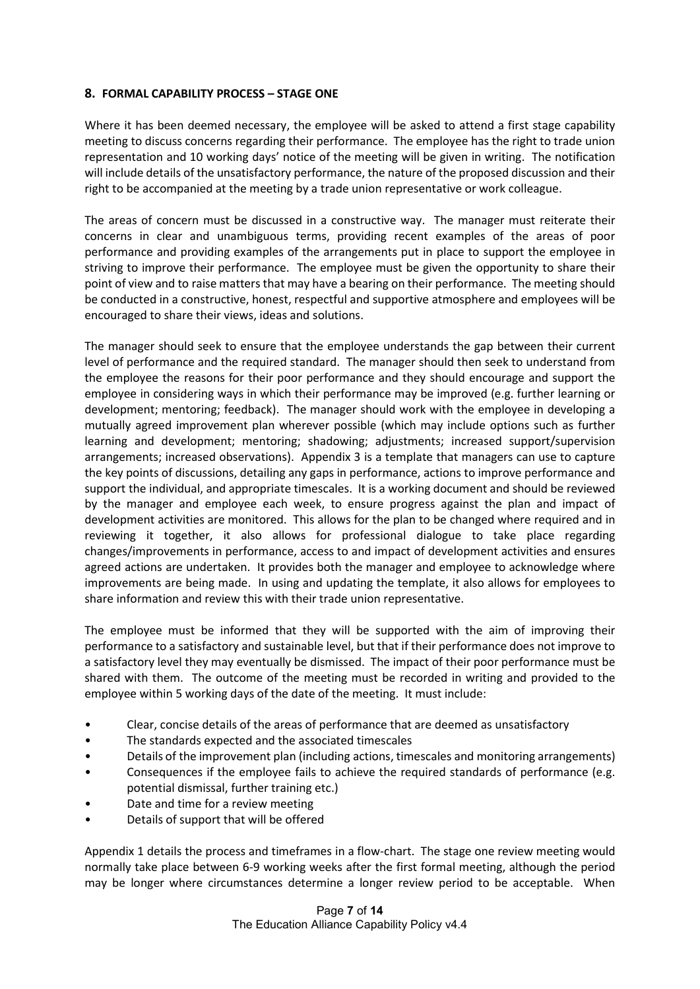#### 8. FORMAL CAPABILITY PROCESS – STAGE ONE

Where it has been deemed necessary, the employee will be asked to attend a first stage capability meeting to discuss concerns regarding their performance. The employee has the right to trade union representation and 10 working days' notice of the meeting will be given in writing. The notification will include details of the unsatisfactory performance, the nature of the proposed discussion and their right to be accompanied at the meeting by a trade union representative or work colleague.

The areas of concern must be discussed in a constructive way. The manager must reiterate their concerns in clear and unambiguous terms, providing recent examples of the areas of poor performance and providing examples of the arrangements put in place to support the employee in striving to improve their performance. The employee must be given the opportunity to share their point of view and to raise matters that may have a bearing on their performance. The meeting should be conducted in a constructive, honest, respectful and supportive atmosphere and employees will be encouraged to share their views, ideas and solutions.

The manager should seek to ensure that the employee understands the gap between their current level of performance and the required standard. The manager should then seek to understand from the employee the reasons for their poor performance and they should encourage and support the employee in considering ways in which their performance may be improved (e.g. further learning or development; mentoring; feedback). The manager should work with the employee in developing a mutually agreed improvement plan wherever possible (which may include options such as further learning and development; mentoring; shadowing; adjustments; increased support/supervision arrangements; increased observations). Appendix 3 is a template that managers can use to capture the key points of discussions, detailing any gaps in performance, actions to improve performance and support the individual, and appropriate timescales. It is a working document and should be reviewed by the manager and employee each week, to ensure progress against the plan and impact of development activities are monitored. This allows for the plan to be changed where required and in reviewing it together, it also allows for professional dialogue to take place regarding changes/improvements in performance, access to and impact of development activities and ensures agreed actions are undertaken. It provides both the manager and employee to acknowledge where improvements are being made. In using and updating the template, it also allows for employees to share information and review this with their trade union representative.

The employee must be informed that they will be supported with the aim of improving their performance to a satisfactory and sustainable level, but that if their performance does not improve to a satisfactory level they may eventually be dismissed. The impact of their poor performance must be shared with them. The outcome of the meeting must be recorded in writing and provided to the employee within 5 working days of the date of the meeting. It must include:

- Clear, concise details of the areas of performance that are deemed as unsatisfactory
- The standards expected and the associated timescales
- Details of the improvement plan (including actions, timescales and monitoring arrangements)
- Consequences if the employee fails to achieve the required standards of performance (e.g. potential dismissal, further training etc.)
- Date and time for a review meeting
- Details of support that will be offered

Appendix 1 details the process and timeframes in a flow-chart. The stage one review meeting would normally take place between 6-9 working weeks after the first formal meeting, although the period may be longer where circumstances determine a longer review period to be acceptable. When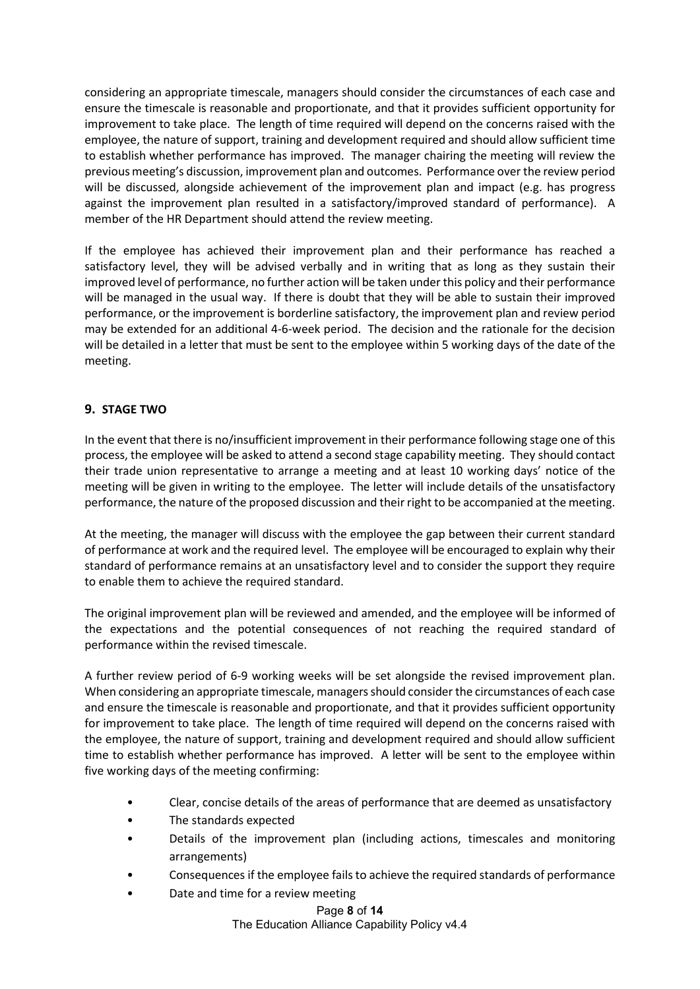considering an appropriate timescale, managers should consider the circumstances of each case and ensure the timescale is reasonable and proportionate, and that it provides sufficient opportunity for improvement to take place. The length of time required will depend on the concerns raised with the employee, the nature of support, training and development required and should allow sufficient time to establish whether performance has improved. The manager chairing the meeting will review the previous meeting's discussion, improvement plan and outcomes. Performance over the review period will be discussed, alongside achievement of the improvement plan and impact (e.g. has progress against the improvement plan resulted in a satisfactory/improved standard of performance). A member of the HR Department should attend the review meeting.

If the employee has achieved their improvement plan and their performance has reached a satisfactory level, they will be advised verbally and in writing that as long as they sustain their improved level of performance, no further action will be taken under this policy and their performance will be managed in the usual way. If there is doubt that they will be able to sustain their improved performance, or the improvement is borderline satisfactory, the improvement plan and review period may be extended for an additional 4-6-week period. The decision and the rationale for the decision will be detailed in a letter that must be sent to the employee within 5 working days of the date of the meeting.

#### 9. STAGE TWO

In the event that there is no/insufficient improvement in their performance following stage one of this process, the employee will be asked to attend a second stage capability meeting. They should contact their trade union representative to arrange a meeting and at least 10 working days' notice of the meeting will be given in writing to the employee. The letter will include details of the unsatisfactory performance, the nature of the proposed discussion and their right to be accompanied at the meeting.

At the meeting, the manager will discuss with the employee the gap between their current standard of performance at work and the required level. The employee will be encouraged to explain why their standard of performance remains at an unsatisfactory level and to consider the support they require to enable them to achieve the required standard.

The original improvement plan will be reviewed and amended, and the employee will be informed of the expectations and the potential consequences of not reaching the required standard of performance within the revised timescale.

A further review period of 6-9 working weeks will be set alongside the revised improvement plan. When considering an appropriate timescale, managers should consider the circumstances of each case and ensure the timescale is reasonable and proportionate, and that it provides sufficient opportunity for improvement to take place. The length of time required will depend on the concerns raised with the employee, the nature of support, training and development required and should allow sufficient time to establish whether performance has improved. A letter will be sent to the employee within five working days of the meeting confirming:

- Clear, concise details of the areas of performance that are deemed as unsatisfactory
- The standards expected
- Details of the improvement plan (including actions, timescales and monitoring arrangements)
- Consequences if the employee fails to achieve the required standards of performance
- Date and time for a review meeting

Page 8 of 14 The Education Alliance Capability Policy v4.4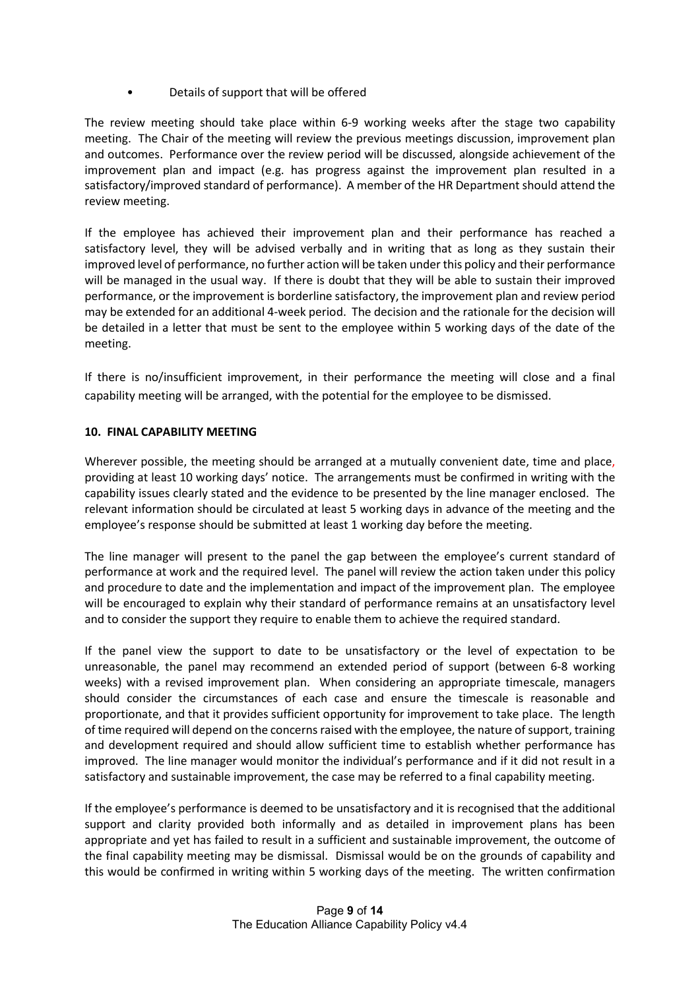• Details of support that will be offered

The review meeting should take place within 6-9 working weeks after the stage two capability meeting. The Chair of the meeting will review the previous meetings discussion, improvement plan and outcomes. Performance over the review period will be discussed, alongside achievement of the improvement plan and impact (e.g. has progress against the improvement plan resulted in a satisfactory/improved standard of performance). A member of the HR Department should attend the review meeting.

If the employee has achieved their improvement plan and their performance has reached a satisfactory level, they will be advised verbally and in writing that as long as they sustain their improved level of performance, no further action will be taken under this policy and their performance will be managed in the usual way. If there is doubt that they will be able to sustain their improved performance, or the improvement is borderline satisfactory, the improvement plan and review period may be extended for an additional 4-week period. The decision and the rationale for the decision will be detailed in a letter that must be sent to the employee within 5 working days of the date of the meeting.

If there is no/insufficient improvement, in their performance the meeting will close and a final capability meeting will be arranged, with the potential for the employee to be dismissed.

#### 10. FINAL CAPABILITY MEETING

Wherever possible, the meeting should be arranged at a mutually convenient date, time and place, providing at least 10 working days' notice. The arrangements must be confirmed in writing with the capability issues clearly stated and the evidence to be presented by the line manager enclosed. The relevant information should be circulated at least 5 working days in advance of the meeting and the employee's response should be submitted at least 1 working day before the meeting.

The line manager will present to the panel the gap between the employee's current standard of performance at work and the required level. The panel will review the action taken under this policy and procedure to date and the implementation and impact of the improvement plan. The employee will be encouraged to explain why their standard of performance remains at an unsatisfactory level and to consider the support they require to enable them to achieve the required standard.

If the panel view the support to date to be unsatisfactory or the level of expectation to be unreasonable, the panel may recommend an extended period of support (between 6-8 working weeks) with a revised improvement plan. When considering an appropriate timescale, managers should consider the circumstances of each case and ensure the timescale is reasonable and proportionate, and that it provides sufficient opportunity for improvement to take place. The length of time required will depend on the concerns raised with the employee, the nature of support, training and development required and should allow sufficient time to establish whether performance has improved. The line manager would monitor the individual's performance and if it did not result in a satisfactory and sustainable improvement, the case may be referred to a final capability meeting.

If the employee's performance is deemed to be unsatisfactory and it is recognised that the additional support and clarity provided both informally and as detailed in improvement plans has been appropriate and yet has failed to result in a sufficient and sustainable improvement, the outcome of the final capability meeting may be dismissal. Dismissal would be on the grounds of capability and this would be confirmed in writing within 5 working days of the meeting. The written confirmation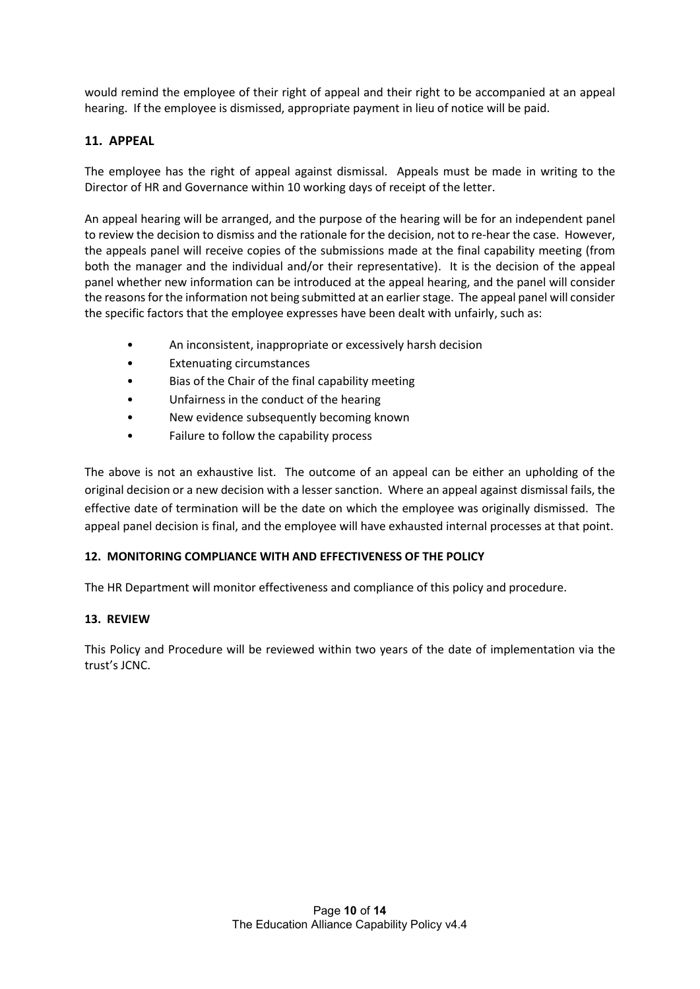would remind the employee of their right of appeal and their right to be accompanied at an appeal hearing. If the employee is dismissed, appropriate payment in lieu of notice will be paid.

#### 11. APPEAL

The employee has the right of appeal against dismissal. Appeals must be made in writing to the Director of HR and Governance within 10 working days of receipt of the letter.

An appeal hearing will be arranged, and the purpose of the hearing will be for an independent panel to review the decision to dismiss and the rationale for the decision, not to re-hear the case. However, the appeals panel will receive copies of the submissions made at the final capability meeting (from both the manager and the individual and/or their representative). It is the decision of the appeal panel whether new information can be introduced at the appeal hearing, and the panel will consider the reasons for the information not being submitted at an earlier stage. The appeal panel will consider the specific factors that the employee expresses have been dealt with unfairly, such as:

- An inconsistent, inappropriate or excessively harsh decision
- Extenuating circumstances
- Bias of the Chair of the final capability meeting
- Unfairness in the conduct of the hearing
- New evidence subsequently becoming known
- Failure to follow the capability process

The above is not an exhaustive list. The outcome of an appeal can be either an upholding of the original decision or a new decision with a lesser sanction. Where an appeal against dismissal fails, the effective date of termination will be the date on which the employee was originally dismissed. The appeal panel decision is final, and the employee will have exhausted internal processes at that point.

#### 12. MONITORING COMPLIANCE WITH AND EFFECTIVENESS OF THE POLICY

The HR Department will monitor effectiveness and compliance of this policy and procedure.

#### 13. REVIEW

This Policy and Procedure will be reviewed within two years of the date of implementation via the trust's JCNC.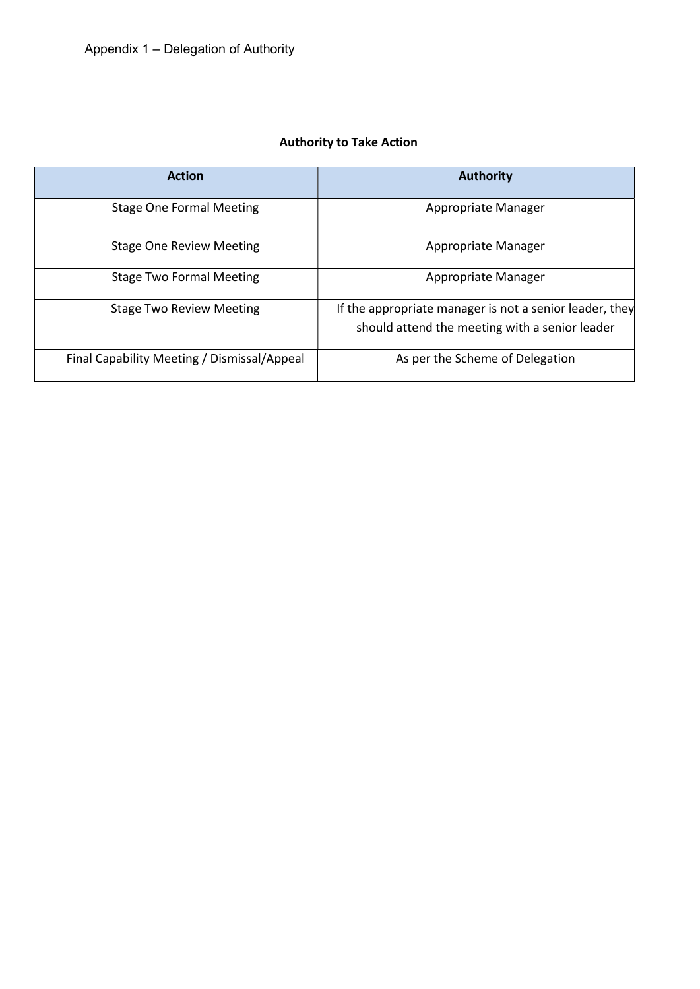# Authority to Take Action

| <b>Action</b>                               | <b>Authority</b>                                                                                          |
|---------------------------------------------|-----------------------------------------------------------------------------------------------------------|
| <b>Stage One Formal Meeting</b>             | Appropriate Manager                                                                                       |
| <b>Stage One Review Meeting</b>             | Appropriate Manager                                                                                       |
| <b>Stage Two Formal Meeting</b>             | Appropriate Manager                                                                                       |
| <b>Stage Two Review Meeting</b>             | If the appropriate manager is not a senior leader, they<br>should attend the meeting with a senior leader |
| Final Capability Meeting / Dismissal/Appeal | As per the Scheme of Delegation                                                                           |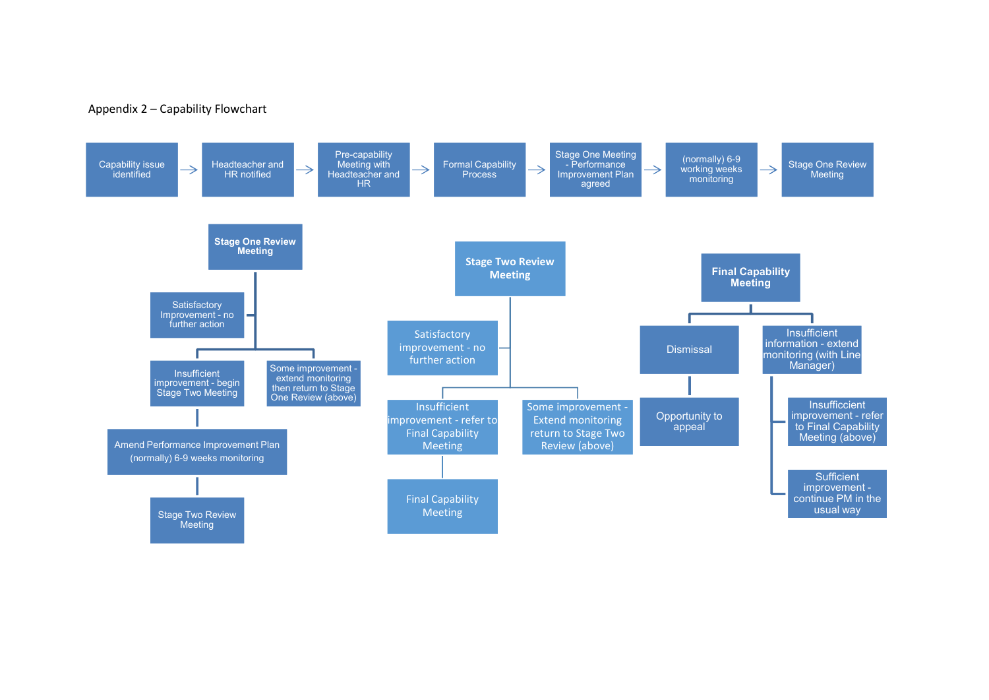#### Appendix 2 – Capability Flowchart

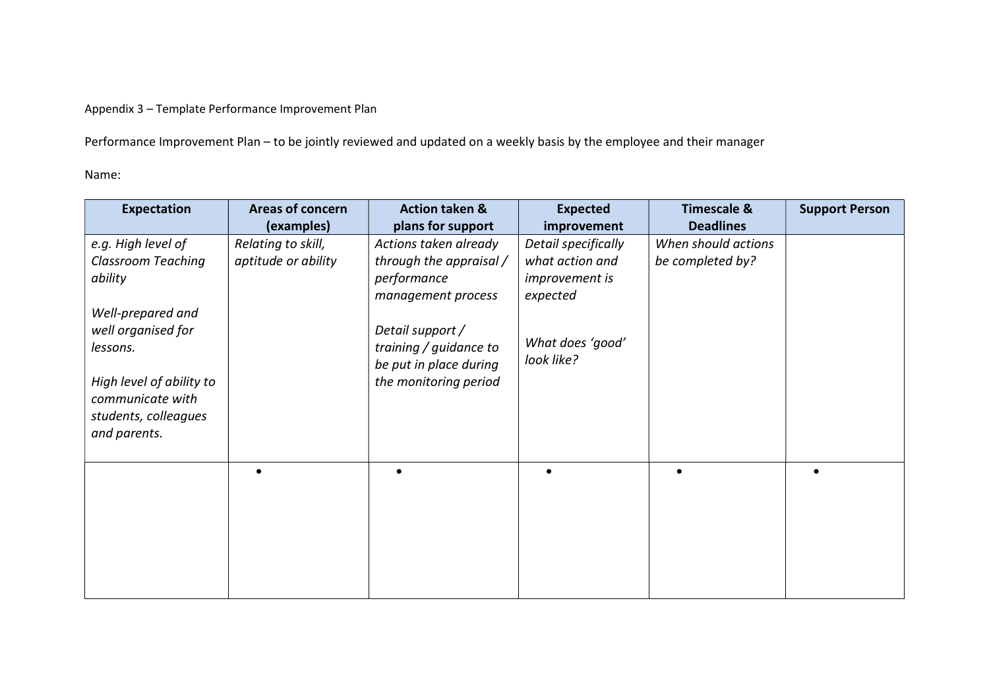Appendix 3 – Template Performance Improvement Plan

Performance Improvement Plan – to be jointly reviewed and updated on a weekly basis by the employee and their manager

Name:

| <b>Expectation</b>        | <b>Areas of concern</b> | <b>Action taken &amp;</b>                        | <b>Expected</b>                   | <b>Timescale &amp;</b> | <b>Support Person</b> |
|---------------------------|-------------------------|--------------------------------------------------|-----------------------------------|------------------------|-----------------------|
|                           | (examples)              | plans for support                                | improvement                       | <b>Deadlines</b>       |                       |
| e.g. High level of        | Relating to skill,      | Actions taken already                            | Detail specifically               | When should actions    |                       |
| <b>Classroom Teaching</b> | aptitude or ability     | through the appraisal /                          | what action and                   | be completed by?       |                       |
| ability                   |                         | performance<br>management process                | <i>improvement is</i><br>expected |                        |                       |
| Well-prepared and         |                         |                                                  |                                   |                        |                       |
| well organised for        |                         | Detail support /                                 |                                   |                        |                       |
| lessons.                  |                         | training / guidance to<br>be put in place during | What does 'good'<br>look like?    |                        |                       |
| High level of ability to  |                         | the monitoring period                            |                                   |                        |                       |
| communicate with          |                         |                                                  |                                   |                        |                       |
| students, colleagues      |                         |                                                  |                                   |                        |                       |
| and parents.              |                         |                                                  |                                   |                        |                       |
|                           |                         |                                                  |                                   |                        |                       |
|                           |                         |                                                  | $\bullet$                         |                        |                       |
|                           |                         |                                                  |                                   |                        |                       |
|                           |                         |                                                  |                                   |                        |                       |
|                           |                         |                                                  |                                   |                        |                       |
|                           |                         |                                                  |                                   |                        |                       |
|                           |                         |                                                  |                                   |                        |                       |
|                           |                         |                                                  |                                   |                        |                       |